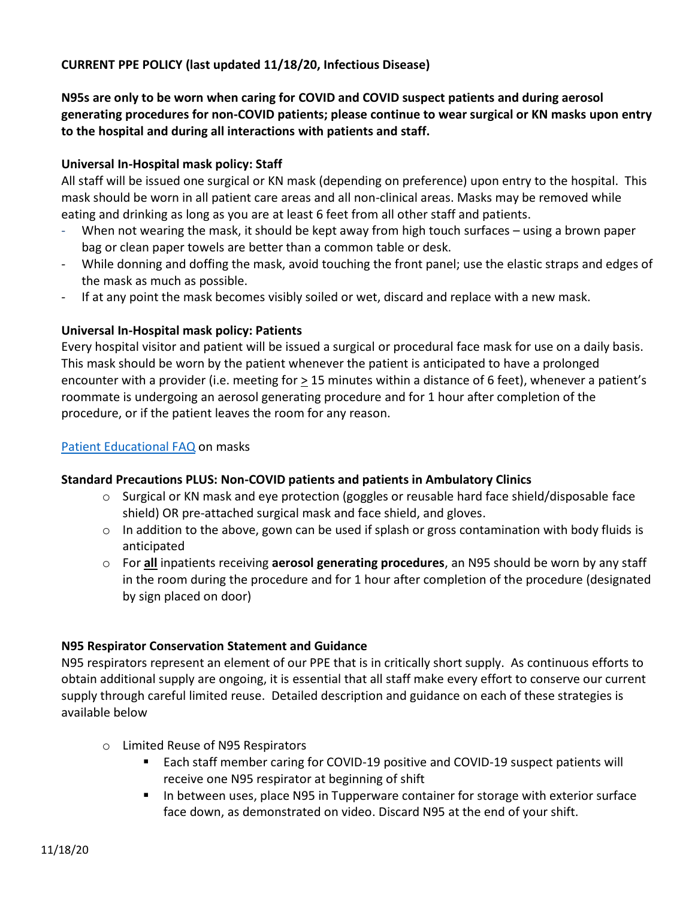#### **CURRENT PPE POLICY (last updated 11/18/20, Infectious Disease)**

**N95s are only to be worn when caring for COVID and COVID suspect patients and during aerosol generating procedures for non-COVID patients; please continue to wear surgical or KN masks upon entry to the hospital and during all interactions with patients and staff.**

#### **Universal In-Hospital mask policy: Staff**

All staff will be issued one surgical or KN mask (depending on preference) upon entry to the hospital. This mask should be worn in all patient care areas and all non-clinical areas. Masks may be removed while eating and drinking as long as you are at least 6 feet from all other staff and patients.

- When not wearing the mask, it should be kept away from high touch surfaces using a brown paper bag or clean paper towels are better than a common table or desk.
- While donning and doffing the mask, avoid touching the front panel; use the elastic straps and edges of the mask as much as possible.
- If at any point the mask becomes visibly soiled or wet, discard and replace with a new mask.

#### **Universal In-Hospital mask policy: Patients**

Every hospital visitor and patient will be issued a surgical or procedural face mask for use on a daily basis. This mask should be worn by the patient whenever the patient is anticipated to have a prolonged encounter with a provider (i.e. meeting for > 15 minutes within a distance of 6 feet), whenever a patient's roommate is undergoing an aerosol generating procedure and for 1 hour after completion of the procedure, or if the patient leaves the room for any reason.

#### [Patient Educational FAQ](https://internal.bmc.org/sites/default/files/docs/2020-04/Universal%20masking%20of%20patients.pdf) on masks

#### **Standard Precautions PLUS: Non-COVID patients and patients in Ambulatory Clinics**

- $\circ$  Surgical or KN mask and eye protection (goggles or reusable hard face shield/disposable face shield) OR pre-attached surgical mask and face shield, and gloves.
- o In addition to the above, gown can be used if splash or gross contamination with body fluids is anticipated
- o For **all** inpatients receiving **aerosol generating procedures**, an N95 should be worn by any staff in the room during the procedure and for 1 hour after completion of the procedure (designated by sign placed on door)

#### **N95 Respirator Conservation Statement and Guidance**

N95 respirators represent an element of our PPE that is in critically short supply. As continuous efforts to obtain additional supply are ongoing, it is essential that all staff make every effort to conserve our current supply through careful limited reuse. Detailed description and guidance on each of these strategies is available below

- o Limited Reuse of N95 Respirators
	- Each staff member caring for COVID-19 positive and COVID-19 suspect patients will receive one N95 respirator at beginning of shift
	- **IF** In between uses, place N95 in Tupperware container for storage with exterior surface face down, as demonstrated on video. Discard N95 at the end of your shift.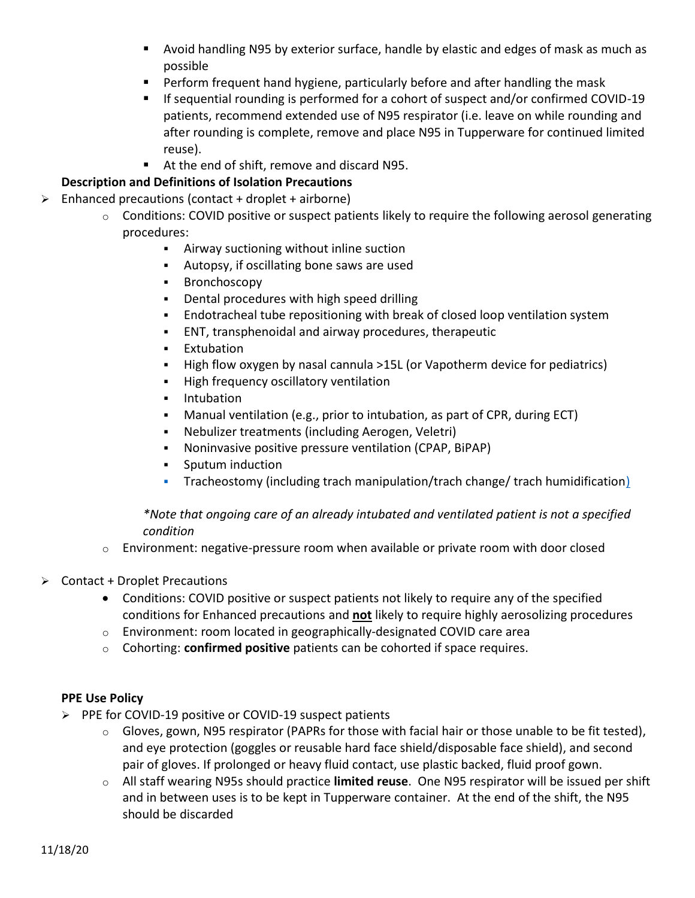- Avoid handling N95 by exterior surface, handle by elastic and edges of mask as much as possible
- Perform frequent hand hygiene, particularly before and after handling the mask
- If sequential rounding is performed for a cohort of suspect and/or confirmed COVID-19 patients, recommend extended use of N95 respirator (i.e. leave on while rounding and after rounding is complete, remove and place N95 in Tupperware for continued limited reuse).
- At the end of shift, remove and discard N95.

## **Description and Definitions of Isolation Precautions**

- $\triangleright$  Enhanced precautions (contact + droplet + airborne)
	- $\circ$  Conditions: COVID positive or suspect patients likely to require the following aerosol generating procedures:
		- Airway suctioning without inline suction
		- Autopsy, if oscillating bone saws are used
		- **Bronchoscopy**
		- Dental procedures with high speed drilling
		- Endotracheal tube repositioning with break of closed loop ventilation system
		- ENT, transphenoidal and airway procedures, therapeutic
		- **Extubation**
		- High flow oxygen by nasal cannula >15L (or Vapotherm device for pediatrics)
		- **High frequency oscillatory ventilation**
		- **Intubation**
		- Manual ventilation (e.g., prior to intubation, as part of CPR, during ECT)
		- Nebulizer treatments (including Aerogen, Veletri)
		- Noninvasive positive pressure ventilation (CPAP, BiPAP)
		- Sputum induction
		- Tracheostomy (including trach manipulation/trach change/ trach humidificatio[n\)](https://files.constantcontact.com/8fadb6e8601/45803c93-77d9-4af2-8405-d544cac93fc7.pdf)

### *\*Note that ongoing care of an already intubated and ventilated patient is not a specified condition*

- $\circ$  Environment: negative-pressure room when available or private room with door closed
- $\triangleright$  Contact + Droplet Precautions
	- Conditions: COVID positive or suspect patients not likely to require any of the specified conditions for Enhanced precautions and **not** likely to require highly aerosolizing procedures
	- $\circ$  Environment: room located in geographically-designated COVID care area
	- o Cohorting: **confirmed positive** patients can be cohorted if space requires.

#### **PPE Use Policy**

- $\triangleright$  PPE for COVID-19 positive or COVID-19 suspect patients
	- $\circ$  Gloves, gown, N95 respirator (PAPRs for those with facial hair or those unable to be fit tested), and eye protection (goggles or reusable hard face shield/disposable face shield), and second pair of gloves. If prolonged or heavy fluid contact, use plastic backed, fluid proof gown.
	- o All staff wearing N95s should practice **limited reuse**. One N95 respirator will be issued per shift and in between uses is to be kept in Tupperware container. At the end of the shift, the N95 should be discarded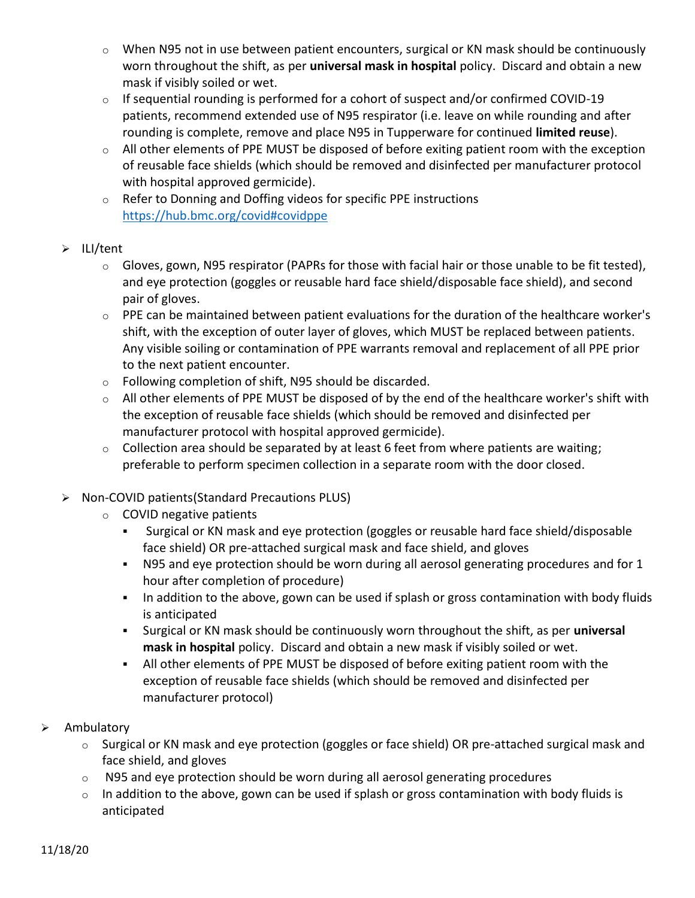- o When N95 not in use between patient encounters, surgical or KN mask should be continuously worn throughout the shift, as per **universal mask in hospital** policy. Discard and obtain a new mask if visibly soiled or wet.
- o If sequential rounding is performed for a cohort of suspect and/or confirmed COVID-19 patients, recommend extended use of N95 respirator (i.e. leave on while rounding and after rounding is complete, remove and place N95 in Tupperware for continued **limited reuse**).
- $\circ$  All other elements of PPE MUST be disposed of before exiting patient room with the exception of reusable face shields (which should be removed and disinfected per manufacturer protocol with hospital approved germicide).
- o Refer to Donning and Doffing videos for specific PPE instructions <https://hub.bmc.org/covid#covidppe>
- $\triangleright$  ILI/tent
	- $\circ$  Gloves, gown, N95 respirator (PAPRs for those with facial hair or those unable to be fit tested), and eye protection (goggles or reusable hard face shield/disposable face shield), and second pair of gloves.
	- $\circ$  PPE can be maintained between patient evaluations for the duration of the healthcare worker's shift, with the exception of outer layer of gloves, which MUST be replaced between patients. Any visible soiling or contamination of PPE warrants removal and replacement of all PPE prior to the next patient encounter.
	- o Following completion of shift, N95 should be discarded.
	- o All other elements of PPE MUST be disposed of by the end of the healthcare worker's shift with the exception of reusable face shields (which should be removed and disinfected per manufacturer protocol with hospital approved germicide).
	- $\circ$  Collection area should be separated by at least 6 feet from where patients are waiting; preferable to perform specimen collection in a separate room with the door closed.

# Non-COVID patients(Standard Precautions PLUS)

- o COVID negative patients
	- Surgical or KN mask and eye protection (goggles or reusable hard face shield/disposable face shield) OR pre-attached surgical mask and face shield, and gloves
	- N95 and eye protection should be worn during all aerosol generating procedures and for 1 hour after completion of procedure)
	- In addition to the above, gown can be used if splash or gross contamination with body fluids is anticipated
	- Surgical or KN mask should be continuously worn throughout the shift, as per **universal mask in hospital** policy. Discard and obtain a new mask if visibly soiled or wet.
	- All other elements of PPE MUST be disposed of before exiting patient room with the exception of reusable face shields (which should be removed and disinfected per manufacturer protocol)
- $\triangleright$  Ambulatory
	- o Surgical or KN mask and eye protection (goggles or face shield) OR pre-attached surgical mask and face shield, and gloves
	- o N95 and eye protection should be worn during all aerosol generating procedures
	- $\circ$  In addition to the above, gown can be used if splash or gross contamination with body fluids is anticipated